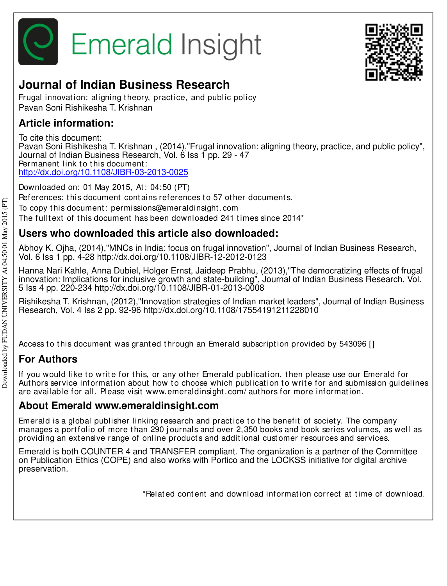



# **Journal of Indian Business Research**

Frugal innovation: aligning theory, practice, and public policy Pavan Soni Rishikesha T. Krishnan

## **Article information:**

To cite this document: Pavan Soni Rishikesha T. Krishnan , (2014),"Frugal innovation: aligning theory, practice, and public policy", Journal of Indian Business Research, Vol. 6 Iss 1 pp. 29 - 47 Permanent link to this document: http://dx.doi.org/10.1108/JIBR-03-2013-0025

Downloaded on: 01 May 2015, At : 04:50 (PT)

References: this document contains references to 57 other documents.

To copy t his document : permissions@emeraldinsight .com

The fulltext of this document has been downloaded 241 times since 2014\*

## **Users who downloaded this article also downloaded:**

Abhoy K. Ojha, (2014),"MNCs in India: focus on frugal innovation", Journal of Indian Business Research, Vol. 6 Iss 1 pp. 4-28 http://dx.doi.org/10.1108/JIBR-12-2012-0123

Hanna Nari Kahle, Anna Dubiel, Holger Ernst, Jaideep Prabhu, (2013),"The democratizing effects of frugal innovation: Implications for inclusive growth and state-building", Journal of Indian Business Research, Vol. 5 Iss 4 pp. 220-234 http://dx.doi.org/10.1108/JIBR-01-2013-0008

Rishikesha T. Krishnan, (2012),"Innovation strategies of Indian market leaders", Journal of Indian Business Research, Vol. 4 Iss 2 pp. 92-96 http://dx.doi.org/10.1108/17554191211228010

Access to this document was granted through an Emerald subscription provided by 543096 []

# **For Authors**

If you would like to write for this, or any other Emerald publication, then please use our Emerald for Authors service information about how to choose which publication to write for and submission guidelines are available for all. Please visit www.emeraldinsight .com/ aut hors for more informat ion.

## **About Emerald www.emeraldinsight.com**

Emerald is a global publisher linking research and practice to the benefit of society. The company manages a portfolio of more than 290 journals and over 2,350 books and book series volumes, as well as providing an extensive range of online products and additional customer resources and services.

Emerald is both COUNTER 4 and TRANSFER compliant. The organization is a partner of the Committee on Publication Ethics (COPE) and also works with Portico and the LOCKSS initiative for digital archive preservation.

\*Relat ed cont ent and download informat ion correct at t ime of download.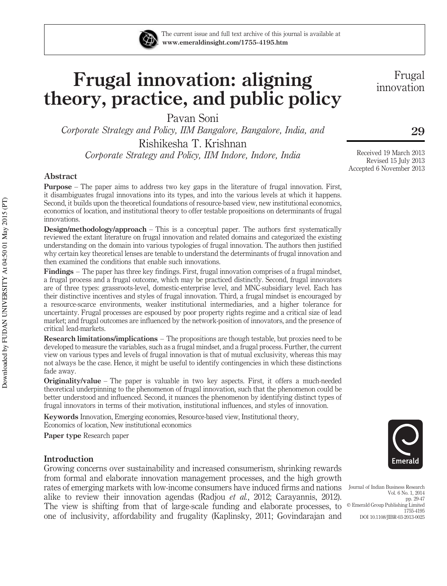

The current issue and full text archive of this journal is available at www.emeraldinsight.com/1755-4195.htm

# Frugal innovation: aligning theory, practice, and public policy

Pavan Soni

*Corporate Strategy and Policy, IIM Bangalore, Bangalore, India, and*

Rishikesha T. Krishnan *Corporate Strategy and Policy, IIM Indore, Indore, India*

#### Abstract

29

Received 19 March 2013 Revised 15 July 2013 Accepted 6 November 2013

Purpose – The paper aims to address two key gaps in the literature of frugal innovation. First, it disambiguates frugal innovations into its types, and into the various levels at which it happens. Second, it builds upon the theoretical foundations of resource-based view, new institutional economics, economics of location, and institutional theory to offer testable propositions on determinants of frugal innovations.

Design/methodology/approach – This is a conceptual paper. The authors first systematically reviewed the extant literature on frugal innovation and related domains and categorized the existing understanding on the domain into various typologies of frugal innovation. The authors then justified why certain key theoretical lenses are tenable to understand the determinants of frugal innovation and then examined the conditions that enable such innovations.

Findings – The paper has three key findings. First, frugal innovation comprises of a frugal mindset, a frugal process and a frugal outcome, which may be practiced distinctly. Second, frugal innovators are of three types: grassroots-level, domestic-enterprise level, and MNC-subsidiary level. Each has their distinctive incentives and styles of frugal innovation. Third, a frugal mindset is encouraged by a resource-scarce environments, weaker institutional intermediaries, and a higher tolerance for uncertainty. Frugal processes are espoused by poor property rights regime and a critical size of lead market; and frugal outcomes are influenced by the network-position of innovators, and the presence of critical lead-markets.

Research limitations/implications – The propositions are though testable, but proxies need to be developed to measure the variables, such as a frugal mindset, and a frugal process. Further, the current view on various types and levels of frugal innovation is that of mutual exclusivity, whereas this may not always be the case. Hence, it might be useful to identify contingencies in which these distinctions fade away.

Originality/value – The paper is valuable in two key aspects. First, it offers a much-needed theoretical underpinning to the phenomenon of frugal innovation, such that the phenomenon could be better understood and influenced. Second, it nuances the phenomenon by identifying distinct types of frugal innovators in terms of their motivation, institutional influences, and styles of innovation.

Keywords Innovation, Emerging economies, Resource-based view, Institutional theory, Economics of location, New institutional economics

Paper type Research paper

#### Introduction

Growing concerns over sustainability and increased consumerism, shrinking rewards from formal and elaborate innovation management processes, and the high growth rates of emerging markets with low-income consumers have induced firms and nations alike to review their innovation agendas (Radjou *et al.*, 2012; Carayannis, 2012). The view is shifting from that of large-scale funding and elaborate processes, to one of inclusivity, affordability and frugality (Kaplinsky, 2011; Govindarajan and



Journal of Indian Business Research Vol. 6 No. 1, 2014 pp. 29-47  $©$  Emerald Group Publishing Limited 1755-4195 DOI 10.1108/JIBR-03-2013-0025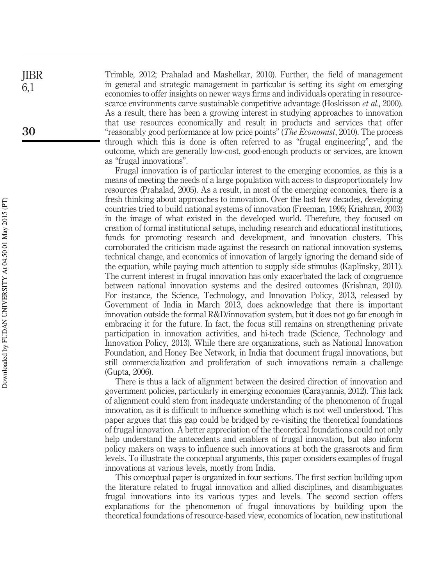Trimble, 2012; Prahalad and Mashelkar, 2010). Further, the field of management in general and strategic management in particular is setting its sight on emerging economies to offer insights on newer ways firms and individuals operating in resourcescarce environments carve sustainable competitive advantage (Hoskisson *et al.*, 2000). As a result, there has been a growing interest in studying approaches to innovation that use resources economically and result in products and services that offer "reasonably good performance at low price points" (*The Economist*, 2010). The process through which this is done is often referred to as "frugal engineering", and the outcome, which are generally low-cost, good-enough products or services, are known as "frugal innovations".

Frugal innovation is of particular interest to the emerging economies, as this is a means of meeting the needs of a large population with access to disproportionately low resources (Prahalad, 2005). As a result, in most of the emerging economies, there is a fresh thinking about approaches to innovation. Over the last few decades, developing countries tried to build national systems of innovation (Freeman, 1995; Krishnan, 2003) in the image of what existed in the developed world. Therefore, they focused on creation of formal institutional setups, including research and educational institutions, funds for promoting research and development, and innovation clusters. This corroborated the criticism made against the research on national innovation systems, technical change, and economics of innovation of largely ignoring the demand side of the equation, while paying much attention to supply side stimulus (Kaplinsky, 2011). The current interest in frugal innovation has only exacerbated the lack of congruence between national innovation systems and the desired outcomes (Krishnan, 2010). For instance, the Science, Technology, and Innovation Policy, 2013, released by Government of India in March 2013, does acknowledge that there is important innovation outside the formal R&D/innovation system, but it does not go far enough in embracing it for the future. In fact, the focus still remains on strengthening private participation in innovation activities, and hi-tech trade (Science, Technology and Innovation Policy, 2013). While there are organizations, such as National Innovation Foundation, and Honey Bee Network, in India that document frugal innovations, but still commercialization and proliferation of such innovations remain a challenge (Gupta, 2006).

There is thus a lack of alignment between the desired direction of innovation and government policies, particularly in emerging economies (Carayannis, 2012). This lack of alignment could stem from inadequate understanding of the phenomenon of frugal innovation, as it is difficult to influence something which is not well understood. This paper argues that this gap could be bridged by re-visiting the theoretical foundations of frugal innovation. A better appreciation of the theoretical foundations could not only help understand the antecedents and enablers of frugal innovation, but also inform policy makers on ways to influence such innovations at both the grassroots and firm levels. To illustrate the conceptual arguments, this paper considers examples of frugal innovations at various levels, mostly from India.

This conceptual paper is organized in four sections. The first section building upon the literature related to frugal innovation and allied disciplines, and disambiguates frugal innovations into its various types and levels. The second section offers explanations for the phenomenon of frugal innovations by building upon the theoretical foundations of resource-based view, economics of location, new institutional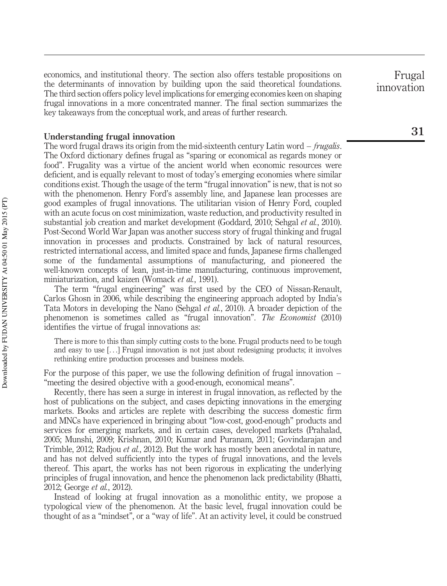economics, and institutional theory. The section also offers testable propositions on the determinants of innovation by building upon the said theoretical foundations. The third section offers policy level implications for emerging economies keen on shaping frugal innovations in a more concentrated manner. The final section summarizes the key takeaways from the conceptual work, and areas of further research.

#### Understanding frugal innovation

The word frugal draws its origin from the mid-sixteenth century Latin word – *frugalis*. The Oxford dictionary defines frugal as "sparing or economical as regards money or food". Frugality was a virtue of the ancient world when economic resources were deficient, and is equally relevant to most of today's emerging economies where similar conditions exist. Though the usage of the term "frugal innovation" is new, that is not so with the phenomenon. Henry Ford's assembly line, and Japanese lean processes are good examples of frugal innovations. The utilitarian vision of Henry Ford, coupled with an acute focus on cost minimization, waste reduction, and productivity resulted in substantial job creation and market development (Goddard, 2010; Sehgal *et al.*, 2010). Post-Second World War Japan was another success story of frugal thinking and frugal innovation in processes and products. Constrained by lack of natural resources, restricted international access, and limited space and funds, Japanese firms challenged some of the fundamental assumptions of manufacturing, and pioneered the well-known concepts of lean, just-in-time manufacturing, continuous improvement, miniaturization, and kaizen (Womack *et al.*, 1991).

The term "frugal engineering" was first used by the CEO of Nissan-Renault, Carlos Ghosn in 2006, while describing the engineering approach adopted by India's Tata Motors in developing the Nano (Sehgal *et al.*, 2010). A broader depiction of the phenomenon is sometimes called as "frugal innovation". *The Economist* (2010) identifies the virtue of frugal innovations as:

There is more to this than simply cutting costs to the bone. Frugal products need to be tough and easy to use [...] Frugal innovation is not just about redesigning products; it involves rethinking entire production processes and business models.

For the purpose of this paper, we use the following definition of frugal innovation – "meeting the desired objective with a good-enough, economical means".

Recently, there has seen a surge in interest in frugal innovation, as reflected by the host of publications on the subject, and cases depicting innovations in the emerging markets. Books and articles are replete with describing the success domestic firm and MNCs have experienced in bringing about "low-cost, good-enough" products and services for emerging markets, and in certain cases, developed markets (Prahalad, 2005; Munshi, 2009; Krishnan, 2010; Kumar and Puranam, 2011; Govindarajan and Trimble, 2012; Radjou *et al.*, 2012). But the work has mostly been anecdotal in nature, and has not delved sufficiently into the types of frugal innovations, and the levels thereof. This apart, the works has not been rigorous in explicating the underlying principles of frugal innovation, and hence the phenomenon lack predictability (Bhatti, 2012; George *et al.*, 2012).

Instead of looking at frugal innovation as a monolithic entity, we propose a typological view of the phenomenon. At the basic level, frugal innovation could be thought of as a "mindset", or a "way of life". At an activity level, it could be construed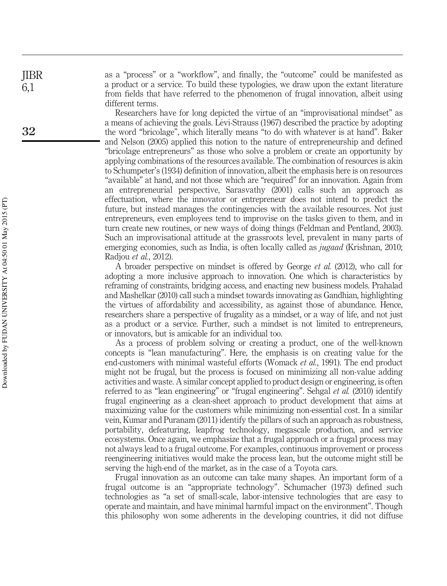as a "process" or a "workflow", and finally, the "outcome" could be manifested as a product or a service. To build these typologies, we draw upon the extant literature from fields that have referred to the phenomenon of frugal innovation, albeit using different terms.

Researchers have for long depicted the virtue of an "improvisational mindset" as a means of achieving the goals. Lévi-Strauss (1967) described the practice by adopting the word "bricolage", which literally means "to do with whatever is at hand". Baker and Nelson (2005) applied this notion to the nature of entrepreneurship and defined "bricolage entrepreneurs" as those who solve a problem or create an opportunity by applying combinations of the resources available. The combination of resources is akin to Schumpeter's (1934) definition of innovation, albeit the emphasis here is on resources "available" at hand, and not those which are "required" for an innovation. Again from an entrepreneurial perspective, Sarasvathy (2001) calls such an approach as effectuation, where the innovator or entrepreneur does not intend to predict the future, but instead manages the contingencies with the available resources. Not just entrepreneurs, even employees tend to improvise on the tasks given to them, and in turn create new routines, or new ways of doing things (Feldman and Pentland, 2003). Such an improvisational attitude at the grassroots level, prevalent in many parts of emerging economies, such as India, is often locally called as *jugaad* (Krishnan, 2010; Radjou *et al.*, 2012).

A broader perspective on mindset is offered by George *et al.* (2012), who call for adopting a more inclusive approach to innovation. One which is characteristics by reframing of constraints, bridging access, and enacting new business models. Prahalad and Mashelkar (2010) call such a mindset towards innovating as Gandhian, highlighting the virtues of affordability and accessibility, as against those of abundance. Hence, researchers share a perspective of frugality as a mindset, or a way of life, and not just as a product or a service. Further, such a mindset is not limited to entrepreneurs, or innovators, but is amicable for an individual too.

As a process of problem solving or creating a product, one of the well-known concepts is "lean manufacturing". Here, the emphasis is on creating value for the end-customers with minimal wasteful efforts (Womack *et al.*, 1991). The end product might not be frugal, but the process is focused on minimizing all non-value adding activities and waste. A similar concept applied to product design or engineering, is often referred to as "lean engineering" or "frugal engineering". Sehgal *et al.* (2010) identify frugal engineering as a clean-sheet approach to product development that aims at maximizing value for the customers while minimizing non-essential cost. In a similar vein, Kumar and Puranam (2011) identify the pillars of such an approach as robustness, portability, defeaturing, leapfrog technology, megascale production, and service ecosystems. Once again, we emphasize that a frugal approach or a frugal process may not always lead to a frugal outcome. For examples, continuous improvement or process reengineering initiatives would make the process lean, but the outcome might still be serving the high-end of the market, as in the case of a Toyota cars.

Frugal innovation as an outcome can take many shapes. An important form of a frugal outcome is an "appropriate technology". Schumacher (1973) defined such technologies as "a set of small-scale, labor-intensive technologies that are easy to operate and maintain, and have minimal harmful impact on the environment". Though this philosophy won some adherents in the developing countries, it did not diffuse

JIBR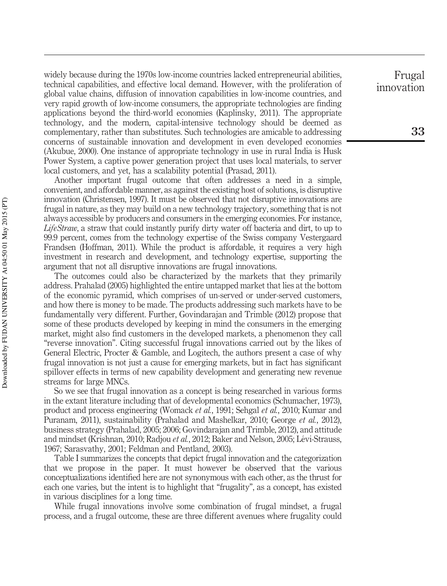widely because during the 1970s low-income countries lacked entrepreneurial abilities, technical capabilities, and effective local demand. However, with the proliferation of global value chains, diffusion of innovation capabilities in low-income countries, and very rapid growth of low-income consumers, the appropriate technologies are finding applications beyond the third-world economies (Kaplinsky, 2011). The appropriate technology, and the modern, capital-intensive technology should be deemed as complementary, rather than substitutes. Such technologies are amicable to addressing concerns of sustainable innovation and development in even developed economies (Akubue, 2000). One instance of appropriate technology in use in rural India is Husk Power System, a captive power generation project that uses local materials, to server local customers, and yet, has a scalability potential (Prasad, 2011).

Another important frugal outcome that often addresses a need in a simple, convenient, and affordable manner, as against the existing host of solutions, is disruptive innovation (Christensen, 1997). It must be observed that not disruptive innovations are frugal in nature, as they may build on a new technology trajectory, something that is not always accessible by producers and consumers in the emerging economies. For instance, *LifeStraw*, a straw that could instantly purify dirty water off bacteria and dirt, to up to 99.9 percent, comes from the technology expertise of the Swiss company Vestergaard Frandsen (Hoffman, 2011). While the product is affordable, it requires a very high investment in research and development, and technology expertise, supporting the argument that not all disruptive innovations are frugal innovations.

The outcomes could also be characterized by the markets that they primarily address. Prahalad (2005) highlighted the entire untapped market that lies at the bottom of the economic pyramid, which comprises of un-served or under-served customers, and how there is money to be made. The products addressing such markets have to be fundamentally very different. Further, Govindarajan and Trimble (2012) propose that some of these products developed by keeping in mind the consumers in the emerging market, might also find customers in the developed markets, a phenomenon they call "reverse innovation". Citing successful frugal innovations carried out by the likes of General Electric, Procter & Gamble, and Logitech, the authors present a case of why frugal innovation is not just a cause for emerging markets, but in fact has significant spillover effects in terms of new capability development and generating new revenue streams for large MNCs.

So we see that frugal innovation as a concept is being researched in various forms in the extant literature including that of developmental economics (Schumacher, 1973), product and process engineering (Womack *et al.*, 1991; Sehgal *et al.*, 2010; Kumar and Puranam, 2011), sustainability (Prahalad and Mashelkar, 2010; George *et al.*, 2012), business strategy (Prahalad, 2005; 2006; Govindarajan and Trimble, 2012), and attitude and mindset (Krishnan, 2010; Radjou *et al.*, 2012; Baker and Nelson, 2005; Lévi-Strauss, 1967; Sarasvathy, 2001; Feldman and Pentland, 2003).

Table I summarizes the concepts that depict frugal innovation and the categorization that we propose in the paper. It must however be observed that the various conceptualizations identified here are not synonymous with each other, as the thrust for each one varies, but the intent is to highlight that "frugality", as a concept, has existed in various disciplines for a long time.

While frugal innovations involve some combination of frugal mindset, a frugal process, and a frugal outcome, these are three different avenues where frugality could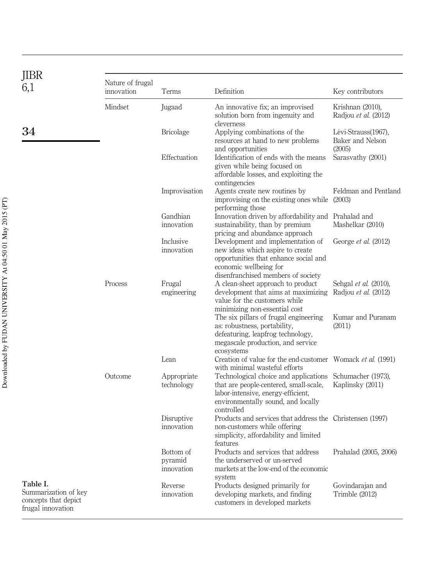| <b>JIBR</b>                                                                   |                                |                                    |                                                                                                                                                                                              |                                          |
|-------------------------------------------------------------------------------|--------------------------------|------------------------------------|----------------------------------------------------------------------------------------------------------------------------------------------------------------------------------------------|------------------------------------------|
| 6,1                                                                           | Nature of frugal<br>innovation | Terms                              | Definition                                                                                                                                                                                   | Key contributors                         |
|                                                                               | Mindset                        | Jugaad                             | An innovative fix; an improvised<br>solution born from ingenuity and<br>cleverness                                                                                                           | Krishnan (2010),<br>Radiou et al. (2012) |
| 34                                                                            |                                | <b>Bricolage</b>                   | Applying combinations of the<br>resources at hand to new problems                                                                                                                            | Lévi-Strauss(1967),<br>Baker and Nelson  |
|                                                                               |                                | Effectuation                       | and opportunities<br>Identification of ends with the means<br>given while being focused on<br>affordable losses, and exploiting the<br>contingencies                                         | (2005)<br>Sarasvathy (2001)              |
|                                                                               |                                | Improvisation                      | Agents create new routines by<br>improvising on the existing ones while (2003)<br>performing those                                                                                           | Feldman and Pentland                     |
|                                                                               |                                | Gandhian<br>innovation             | Innovation driven by affordability and Prahalad and<br>sustainability, than by premium<br>pricing and abundance approach                                                                     | Mashelkar (2010)                         |
|                                                                               |                                | Inclusive<br>innovation            | Development and implementation of<br>new ideas which aspire to create<br>opportunities that enhance social and<br>economic wellbeing for<br>disenfranchised members of society               | George et al. (2012)                     |
|                                                                               | Process                        | Frugal<br>engineering              | A clean-sheet approach to product<br>development that aims at maximizing Radjou <i>et al.</i> (2012)<br>value for the customers while<br>minimizing non-essential cost                       | Sehgal et al. (2010),                    |
|                                                                               |                                |                                    | The six pillars of frugal engineering<br>as: robustness, portability,<br>defeaturing, leapfrog technology,<br>megascale production, and service<br>ecosystems                                | Kumar and Puranam<br>(2011)              |
|                                                                               |                                | Lean                               | Creation of value for the end-customer Womack et al. (1991)<br>with minimal wasteful efforts                                                                                                 |                                          |
|                                                                               | Outcome                        | Appropriate<br>technology          | Technological choice and applications Schumacher (1973),<br>that are people-centered, small-scale,<br>labor-intensive, energy-efficient,<br>environmentally sound, and locally<br>controlled | Kaplinsky (2011)                         |
|                                                                               |                                | Disruptive<br>innovation           | Products and services that address the Christensen (1997)<br>non-customers while offering<br>simplicity, affordability and limited<br>features                                               |                                          |
|                                                                               |                                | Bottom of<br>pyramid<br>innovation | Products and services that address<br>the underserved or un-served<br>markets at the low-end of the economic<br>system                                                                       | Prahalad (2005, 2006)                    |
| Table I.<br>Summarization of key<br>concepts that depict<br>frugal innovation |                                | Reverse<br>innovation              | Products designed primarily for<br>developing markets, and finding<br>customers in developed markets                                                                                         | Govindarajan and<br>Trimble (2012)       |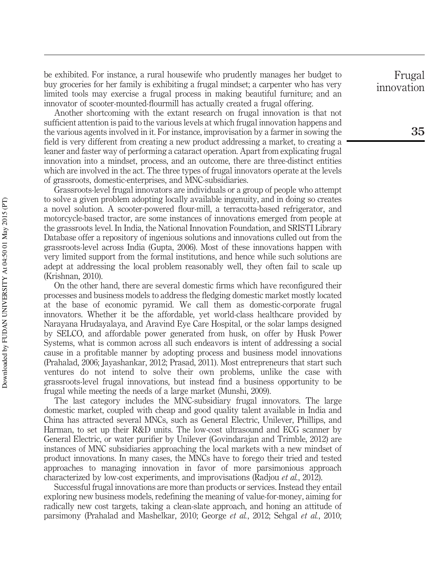be exhibited. For instance, a rural housewife who prudently manages her budget to buy groceries for her family is exhibiting a frugal mindset; a carpenter who has very limited tools may exercise a frugal process in making beautiful furniture; and an innovator of scooter-mounted-flourmill has actually created a frugal offering.

Another shortcoming with the extant research on frugal innovation is that not sufficient attention is paid to the various levels at which frugal innovation happens and the various agents involved in it. For instance, improvisation by a farmer in sowing the field is very different from creating a new product addressing a market, to creating a leaner and faster way of performing a cataract operation. Apart from explicating frugal innovation into a mindset, process, and an outcome, there are three-distinct entities which are involved in the act. The three types of frugal innovators operate at the levels of grassroots, domestic-enterprises, and MNC-subsidiaries.

Grassroots-level frugal innovators are individuals or a group of people who attempt to solve a given problem adopting locally available ingenuity, and in doing so creates a novel solution. A scooter-powered flour-mill, a terracotta-based refrigerator, and motorcycle-based tractor, are some instances of innovations emerged from people at the grassroots level. In India, the National Innovation Foundation, and SRISTI Library Database offer a repository of ingenious solutions and innovations culled out from the grassroots-level across India (Gupta, 2006). Most of these innovations happen with very limited support from the formal institutions, and hence while such solutions are adept at addressing the local problem reasonably well, they often fail to scale up (Krishnan, 2010).

On the other hand, there are several domestic firms which have reconfigured their processes and business models to address the fledging domestic market mostly located at the base of economic pyramid. We call them as domestic-corporate frugal innovators. Whether it be the affordable, yet world-class healthcare provided by Narayana Hrudayalaya, and Aravind Eye Care Hospital, or the solar lamps designed by SELCO, and affordable power generated from husk, on offer by Husk Power Systems, what is common across all such endeavors is intent of addressing a social cause in a profitable manner by adopting process and business model innovations (Prahalad, 2006; Jayashankar, 2012; Prasad, 2011). Most entrepreneurs that start such ventures do not intend to solve their own problems, unlike the case with grassroots-level frugal innovations, but instead find a business opportunity to be frugal while meeting the needs of a large market (Munshi, 2009).

The last category includes the MNC-subsidiary frugal innovators. The large domestic market, coupled with cheap and good quality talent available in India and China has attracted several MNCs, such as General Electric, Unilever, Phillips, and Harman, to set up their R&D units. The low-cost ultrasound and ECG scanner by General Electric, or water purifier by Unilever (Govindarajan and Trimble, 2012) are instances of MNC subsidiaries approaching the local markets with a new mindset of product innovations. In many cases, the MNCs have to forego their tried and tested approaches to managing innovation in favor of more parsimonious approach characterized by low-cost experiments, and improvisations (Radjou *et al.*, 2012).

Successful frugal innovations are more than products or services. Instead they entail exploring new business models, redefining the meaning of value-for-money, aiming for radically new cost targets, taking a clean-slate approach, and honing an attitude of parsimony (Prahalad and Mashelkar, 2010; George *et al.*, 2012; Sehgal *et al.*, 2010;

Frugal innovation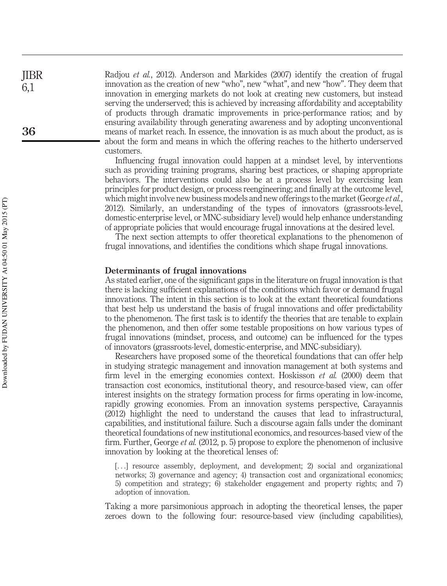Radjou *et al.*, 2012). Anderson and Markides (2007) identify the creation of frugal innovation as the creation of new "who", new "what", and new "how". They deem that innovation in emerging markets do not look at creating new customers, but instead serving the underserved; this is achieved by increasing affordability and acceptability of products through dramatic improvements in price-performance ratios; and by ensuring availability through generating awareness and by adopting unconventional means of market reach. In essence, the innovation is as much about the product, as is about the form and means in which the offering reaches to the hitherto underserved customers.

Influencing frugal innovation could happen at a mindset level, by interventions such as providing training programs, sharing best practices, or shaping appropriate behaviors. The interventions could also be at a process level by exercising lean principles for product design, or process reengineering; and finally at the outcome level, which might involve new business models and new offerings to the market (George *et al.*, 2012). Similarly, an understanding of the types of innovators (grassroots-level, domestic-enterprise level, or MNC-subsidiary level) would help enhance understanding of appropriate policies that would encourage frugal innovations at the desired level.

The next section attempts to offer theoretical explanations to the phenomenon of frugal innovations, and identifies the conditions which shape frugal innovations.

#### Determinants of frugal innovations

As stated earlier, one of the significant gaps in the literature on frugal innovation is that there is lacking sufficient explanations of the conditions which favor or demand frugal innovations. The intent in this section is to look at the extant theoretical foundations that best help us understand the basis of frugal innovations and offer predictability to the phenomenon. The first task is to identify the theories that are tenable to explain the phenomenon, and then offer some testable propositions on how various types of frugal innovations (mindset, process, and outcome) can be influenced for the types of innovators (grassroots-level, domestic-enterprise, and MNC-subsidiary).

Researchers have proposed some of the theoretical foundations that can offer help in studying strategic management and innovation management at both systems and firm level in the emerging economies context. Hoskisson *et al.* (2000) deem that transaction cost economics, institutional theory, and resource-based view, can offer interest insights on the strategy formation process for firms operating in low-income, rapidly growing economies. From an innovation systems perspective, Carayannis (2012) highlight the need to understand the causes that lead to infrastructural, capabilities, and institutional failure. Such a discourse again falls under the dominant theoretical foundations of new institutional economics, and resources-based view of the firm. Further, George *et al.* (2012, p. 5) propose to explore the phenomenon of inclusive innovation by looking at the theoretical lenses of:

[...] resource assembly, deployment, and development; 2) social and organizational networks; 3) governance and agency; 4) transaction cost and organizational economics; 5) competition and strategy; 6) stakeholder engagement and property rights; and 7) adoption of innovation.

Taking a more parsimonious approach in adopting the theoretical lenses, the paper zeroes down to the following four: resource-based view (including capabilities),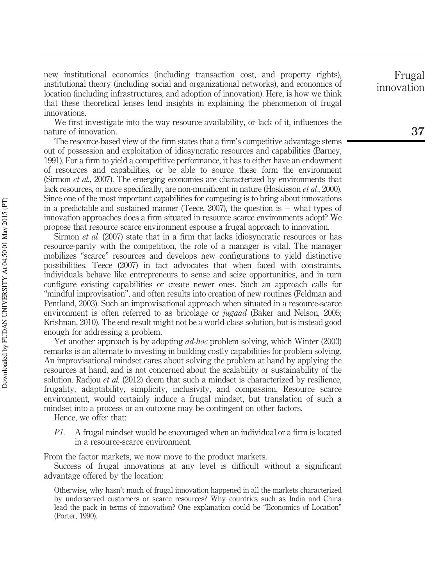new institutional economics (including transaction cost, and property rights), institutional theory (including social and organizational networks), and economics of location (including infrastructures, and adoption of innovation). Here, is how we think that these theoretical lenses lend insights in explaining the phenomenon of frugal innovations.

We first investigate into the way resource availability, or lack of it, influences the nature of innovation.

The resource-based view of the firm states that a firm's competitive advantage stems out of possession and exploitation of idiosyncratic resources and capabilities (Barney, 1991). For a firm to yield a competitive performance, it has to either have an endowment of resources and capabilities, or be able to source these form the environment (Sirmon *et al.*, 2007). The emerging economies are characterized by environments that lack resources, or more specifically, are non-munificent in nature (Hoskisson *et al.*, 2000). Since one of the most important capabilities for competing is to bring about innovations in a predictable and sustained manner (Teece, 2007), the question is – what types of innovation approaches does a firm situated in resource scarce environments adopt? We propose that resource scarce environment espouse a frugal approach to innovation.

Sirmon *et al.* (2007) state that in a firm that lacks idiosyncratic resources or has resource-parity with the competition, the role of a manager is vital. The manager mobilizes "scarce" resources and develops new configurations to yield distinctive possibilities. Teece (2007) in fact advocates that when faced with constraints, individuals behave like entrepreneurs to sense and seize opportunities, and in turn configure existing capabilities or create newer ones. Such an approach calls for "mindful improvisation", and often results into creation of new routines (Feldman and Pentland, 2003). Such an improvisational approach when situated in a resource-scarce environment is often referred to as bricolage or *jugaad* (Baker and Nelson, 2005; Krishnan, 2010). The end result might not be a world-class solution, but is instead good enough for addressing a problem.

Yet another approach is by adopting *ad-hoc* problem solving, which Winter (2003) remarks is an alternate to investing in building costly capabilities for problem solving. An improvisational mindset cares about solving the problem at hand by applying the resources at hand, and is not concerned about the scalability or sustainability of the solution. Radjou *et al.* (2012) deem that such a mindset is characterized by resilience, frugality, adaptability, simplicity, inclusivity, and compassion. Resource scarce environment, would certainly induce a frugal mindset, but translation of such a mindset into a process or an outcome may be contingent on other factors.

Hence, we offer that:

*P1.* A frugal mindset would be encouraged when an individual or a firm is located in a resource-scarce environment.

From the factor markets, we now move to the product markets.

Success of frugal innovations at any level is difficult without a significant advantage offered by the location:

Otherwise, why hasn't much of frugal innovation happened in all the markets characterized by underserved customers or scarce resources? Why countries such as India and China lead the pack in terms of innovation? One explanation could be "Economics of Location" (Porter, 1990).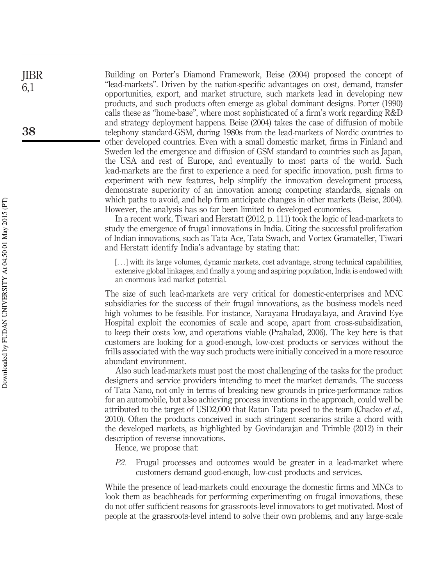Building on Porter's Diamond Framework, Beise (2004) proposed the concept of "lead-markets". Driven by the nation-specific advantages on cost, demand, transfer opportunities, export, and market structure, such markets lead in developing new products, and such products often emerge as global dominant designs. Porter (1990) calls these as "home-base", where most sophisticated of a firm's work regarding R&D and strategy deployment happens. Beise (2004) takes the case of diffusion of mobile telephony standard-GSM, during 1980s from the lead-markets of Nordic countries to other developed countries. Even with a small domestic market, firms in Finland and Sweden led the emergence and diffusion of GSM standard to countries such as Japan, the USA and rest of Europe, and eventually to most parts of the world. Such lead-markets are the first to experience a need for specific innovation, push firms to experiment with new features, help simplify the innovation development process, demonstrate superiority of an innovation among competing standards, signals on which paths to avoid, and help firm anticipate changes in other markets (Beise, 2004). However, the analysis has so far been limited to developed economies.

In a recent work, Tiwari and Herstatt (2012, p. 111) took the logic of lead-markets to study the emergence of frugal innovations in India. Citing the successful proliferation of Indian innovations, such as Tata Ace, Tata Swach, and Vortex Gramateller, Tiwari and Herstatt identify India's advantage by stating that:

[...] with its large volumes, dynamic markets, cost advantage, strong technical capabilities, extensive global linkages, and finally a young and aspiring population, India is endowed with an enormous lead market potential.

The size of such lead-markets are very critical for domestic-enterprises and MNC subsidiaries for the success of their frugal innovations, as the business models need high volumes to be feasible. For instance, Narayana Hrudayalaya, and Aravind Eye Hospital exploit the economies of scale and scope, apart from cross-subsidization, to keep their costs low, and operations viable (Prahalad, 2006). The key here is that customers are looking for a good-enough, low-cost products or services without the frills associated with the way such products were initially conceived in a more resource abundant environment.

Also such lead-markets must post the most challenging of the tasks for the product designers and service providers intending to meet the market demands. The success of Tata Nano, not only in terms of breaking new grounds in price-performance ratios for an automobile, but also achieving process inventions in the approach, could well be attributed to the target of USD2,000 that Ratan Tata posed to the team (Chacko *et al.*, 2010). Often the products conceived in such stringent scenarios strike a chord with the developed markets, as highlighted by Govindarajan and Trimble (2012) in their description of reverse innovations.

Hence, we propose that:

*P2.* Frugal processes and outcomes would be greater in a lead-market where customers demand good-enough, low-cost products and services.

While the presence of lead-markets could encourage the domestic firms and MNCs to look them as beachheads for performing experimenting on frugal innovations, these do not offer sufficient reasons for grassroots-level innovators to get motivated. Most of people at the grassroots-level intend to solve their own problems, and any large-scale

JIBR 6,1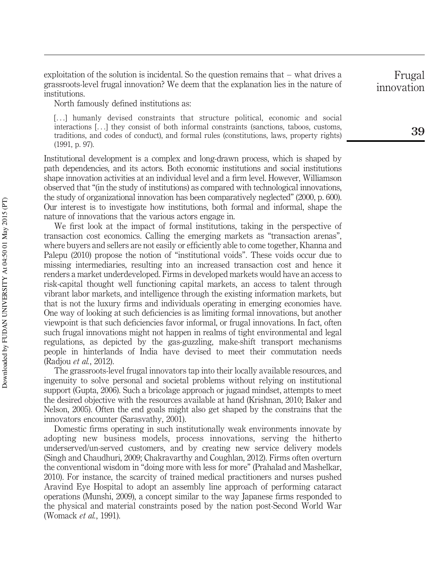exploitation of the solution is incidental. So the question remains that – what drives a grassroots-level frugal innovation? We deem that the explanation lies in the nature of institutions.

North famously defined institutions as:

[...] humanly devised constraints that structure political, economic and social interactions [...] they consist of both informal constraints (sanctions, taboos, customs, traditions, and codes of conduct), and formal rules (constitutions, laws, property rights) (1991, p. 97).

Institutional development is a complex and long-drawn process, which is shaped by path dependencies, and its actors. Both economic institutions and social institutions shape innovation activities at an individual level and a firm level. However, Williamson observed that "(in the study of institutions) as compared with technological innovations, the study of organizational innovation has been comparatively neglected" (2000, p. 600). Our interest is to investigate how institutions, both formal and informal, shape the nature of innovations that the various actors engage in.

We first look at the impact of formal institutions, taking in the perspective of transaction cost economics. Calling the emerging markets as "transaction arenas", where buyers and sellers are not easily or efficiently able to come together, Khanna and Palepu (2010) propose the notion of "institutional voids". These voids occur due to missing intermediaries, resulting into an increased transaction cost and hence it renders a market underdeveloped. Firms in developed markets would have an access to risk-capital thought well functioning capital markets, an access to talent through vibrant labor markets, and intelligence through the existing information markets, but that is not the luxury firms and individuals operating in emerging economies have. One way of looking at such deficiencies is as limiting formal innovations, but another viewpoint is that such deficiencies favor informal, or frugal innovations. In fact, often such frugal innovations might not happen in realms of tight environmental and legal regulations, as depicted by the gas-guzzling, make-shift transport mechanisms people in hinterlands of India have devised to meet their commutation needs (Radjou *et al.*, 2012).

The grassroots-level frugal innovators tap into their locally available resources, and ingenuity to solve personal and societal problems without relying on institutional support (Gupta, 2006). Such a bricolage approach or jugaad mindset, attempts to meet the desired objective with the resources available at hand (Krishnan, 2010; Baker and Nelson, 2005). Often the end goals might also get shaped by the constrains that the innovators encounter (Sarasvathy, 2001).

Domestic firms operating in such institutionally weak environments innovate by adopting new business models, process innovations, serving the hitherto underserved/un-served customers, and by creating new service delivery models (Singh and Chaudhuri, 2009; Chakravarthy and Coughlan, 2012). Firms often overturn the conventional wisdom in "doing more with less for more" (Prahalad and Mashelkar, 2010). For instance, the scarcity of trained medical practitioners and nurses pushed Aravind Eye Hospital to adopt an assembly line approach of performing cataract operations (Munshi, 2009), a concept similar to the way Japanese firms responded to the physical and material constraints posed by the nation post-Second World War (Womack *et al.*, 1991).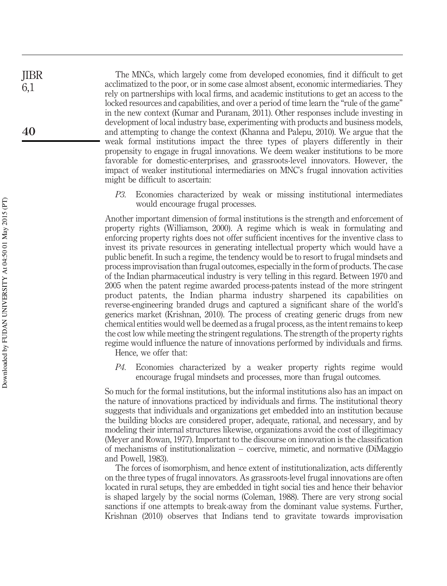The MNCs, which largely come from developed economies, find it difficult to get acclimatized to the poor, or in some case almost absent, economic intermediaries. They rely on partnerships with local firms, and academic institutions to get an access to the locked resources and capabilities, and over a period of time learn the "rule of the game" in the new context (Kumar and Puranam, 2011). Other responses include investing in development of local industry base, experimenting with products and business models, and attempting to change the context (Khanna and Palepu, 2010). We argue that the weak formal institutions impact the three types of players differently in their propensity to engage in frugal innovations. We deem weaker institutions to be more favorable for domestic-enterprises, and grassroots-level innovators. However, the impact of weaker institutional intermediaries on MNC's frugal innovation activities might be difficult to ascertain:

*P3.* Economies characterized by weak or missing institutional intermediates would encourage frugal processes.

Another important dimension of formal institutions is the strength and enforcement of property rights (Williamson, 2000). A regime which is weak in formulating and enforcing property rights does not offer sufficient incentives for the inventive class to invest its private resources in generating intellectual property which would have a public benefit. In such a regime, the tendency would be to resort to frugal mindsets and process improvisation than frugal outcomes, especially in the form of products. The case of the Indian pharmaceutical industry is very telling in this regard. Between 1970 and 2005 when the patent regime awarded process-patents instead of the more stringent product patents, the Indian pharma industry sharpened its capabilities on reverse-engineering branded drugs and captured a significant share of the world's generics market (Krishnan, 2010). The process of creating generic drugs from new chemical entities would well be deemed as a frugal process, as the intent remains to keep the cost low while meeting the stringent regulations. The strength of the property rights regime would influence the nature of innovations performed by individuals and firms.

Hence, we offer that:

*P4.* Economies characterized by a weaker property rights regime would encourage frugal mindsets and processes, more than frugal outcomes.

So much for the formal institutions, but the informal institutions also has an impact on the nature of innovations practiced by individuals and firms. The institutional theory suggests that individuals and organizations get embedded into an institution because the building blocks are considered proper, adequate, rational, and necessary, and by modeling their internal structures likewise, organizations avoid the cost of illegitimacy (Meyer and Rowan, 1977). Important to the discourse on innovation is the classification of mechanisms of institutionalization – coercive, mimetic, and normative (DiMaggio and Powell, 1983).

The forces of isomorphism, and hence extent of institutionalization, acts differently on the three types of frugal innovators. As grassroots-level frugal innovations are often located in rural setups, they are embedded in tight social ties and hence their behavior is shaped largely by the social norms (Coleman, 1988). There are very strong social sanctions if one attempts to break-away from the dominant value systems. Further, Krishnan (2010) observes that Indians tend to gravitate towards improvisation

JIBR 6,1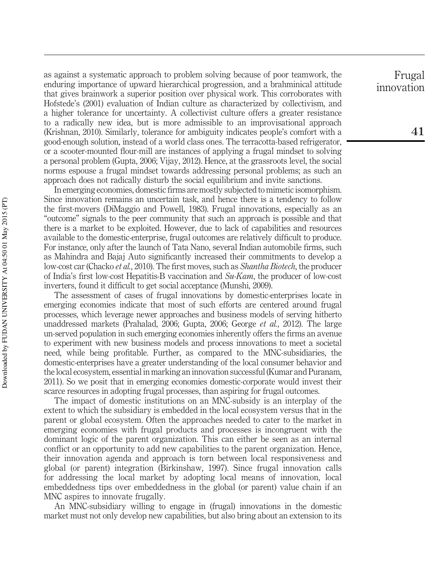as against a systematic approach to problem solving because of poor teamwork, the enduring importance of upward hierarchical progression, and a brahminical attitude that gives brainwork a superior position over physical work. This corroborates with Hofstede's (2001) evaluation of Indian culture as characterized by collectivism, and a higher tolerance for uncertainty. A collectivist culture offers a greater resistance to a radically new idea, but is more admissible to an improvisational approach (Krishnan, 2010). Similarly, tolerance for ambiguity indicates people's comfort with a good-enough solution, instead of a world class ones. The terracotta-based refrigerator, or a scooter-mounted flour-mill are instances of applying a frugal mindset to solving a personal problem (Gupta, 2006; Vijay, 2012). Hence, at the grassroots level, the social norms espouse a frugal mindset towards addressing personal problems; as such an approach does not radically disturb the social equilibrium and invite sanctions.

In emerging economies, domestic firms are mostly subjected to mimetic isomorphism. Since innovation remains an uncertain task, and hence there is a tendency to follow the first-movers (DiMaggio and Powell, 1983). Frugal innovations, especially as an "outcome" signals to the peer community that such an approach is possible and that there is a market to be exploited. However, due to lack of capabilities and resources available to the domestic-enterprise, frugal outcomes are relatively difficult to produce. For instance, only after the launch of Tata Nano, several Indian automobile firms, such as Mahindra and Bajaj Auto significantly increased their commitments to develop a low-cost car (Chacko *et al.*, 2010). The first moves, such as *Shantha Biotech*, the producer of India's first low-cost Hepatitis-B vaccination and *Su-Kam*, the producer of low-cost inverters, found it difficult to get social acceptance (Munshi, 2009).

The assessment of cases of frugal innovations by domestic-enterprises locate in emerging economies indicate that most of such efforts are centered around frugal processes, which leverage newer approaches and business models of serving hitherto unaddressed markets (Prahalad, 2006; Gupta, 2006; George *et al.*, 2012). The large un-served population in such emerging economies inherently offers the firms an avenue to experiment with new business models and process innovations to meet a societal need, while being profitable. Further, as compared to the MNC-subsidiaries, the domestic-enterprises have a greater understanding of the local consumer behavior and the local ecosystem, essential in marking an innovation successful (Kumar and Puranam, 2011). So we posit that in emerging economies domestic-corporate would invest their scarce resources in adopting frugal processes, than aspiring for frugal outcomes.

The impact of domestic institutions on an MNC-subsidy is an interplay of the extent to which the subsidiary is embedded in the local ecosystem versus that in the parent or global ecosystem. Often the approaches needed to cater to the market in emerging economies with frugal products and processes is incongruent with the dominant logic of the parent organization. This can either be seen as an internal conflict or an opportunity to add new capabilities to the parent organization. Hence, their innovation agenda and approach is torn between local responsiveness and global (or parent) integration (Birkinshaw, 1997). Since frugal innovation calls for addressing the local market by adopting local means of innovation, local embeddedness tips over embeddedness in the global (or parent) value chain if an MNC aspires to innovate frugally.

An MNC-subsidiary willing to engage in (frugal) innovations in the domestic market must not only develop new capabilities, but also bring about an extension to its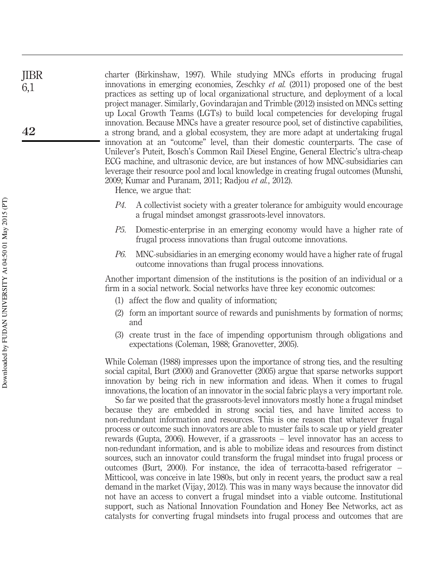charter (Birkinshaw, 1997). While studying MNCs efforts in producing frugal innovations in emerging economies, Zeschky *et al.* (2011) proposed one of the best practices as setting up of local organizational structure, and deployment of a local project manager. Similarly, Govindarajan and Trimble (2012) insisted on MNCs setting up Local Growth Teams (LGTs) to build local competencies for developing frugal innovation. Because MNCs have a greater resource pool, set of distinctive capabilities, a strong brand, and a global ecosystem, they are more adapt at undertaking frugal innovation at an "outcome" level, than their domestic counterparts. The case of Unilever's Puteit, Bosch's Common Rail Diesel Engine, General Electric's ultra-cheap ECG machine, and ultrasonic device, are but instances of how MNC-subsidiaries can leverage their resource pool and local knowledge in creating frugal outcomes (Munshi, 2009; Kumar and Puranam, 2011; Radjou *et al.*, 2012).

Hence, we argue that:

- *P4.* A collectivist society with a greater tolerance for ambiguity would encourage a frugal mindset amongst grassroots-level innovators.
- *P5.* Domestic-enterprise in an emerging economy would have a higher rate of frugal process innovations than frugal outcome innovations.
- *P6.* MNC-subsidiaries in an emerging economy would have a higher rate of frugal outcome innovations than frugal process innovations.

Another important dimension of the institutions is the position of an individual or a firm in a social network. Social networks have three key economic outcomes:

- (1) affect the flow and quality of information;
- (2) form an important source of rewards and punishments by formation of norms; and
- (3) create trust in the face of impending opportunism through obligations and expectations (Coleman, 1988; Granovetter, 2005).

While Coleman (1988) impresses upon the importance of strong ties, and the resulting social capital, Burt (2000) and Granovetter (2005) argue that sparse networks support innovation by being rich in new information and ideas. When it comes to frugal innovations, the location of an innovator in the social fabric plays a very important role.

So far we posited that the grassroots-level innovators mostly hone a frugal mindset because they are embedded in strong social ties, and have limited access to non-redundant information and resources. This is one reason that whatever frugal process or outcome such innovators are able to muster fails to scale up or yield greater rewards (Gupta, 2006). However, if a grassroots – level innovator has an access to non-redundant information, and is able to mobilize ideas and resources from distinct sources, such an innovator could transform the frugal mindset into frugal process or outcomes (Burt, 2000). For instance, the idea of terracotta-based refrigerator – Mitticool, was conceive in late 1980s, but only in recent years, the product saw a real demand in the market (Vijay, 2012). This was in many ways because the innovator did not have an access to convert a frugal mindset into a viable outcome. Institutional support, such as National Innovation Foundation and Honey Bee Networks, act as catalysts for converting frugal mindsets into frugal process and outcomes that are

JIBR 6,1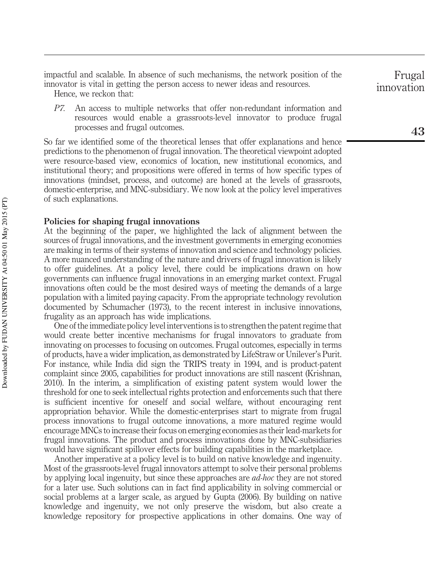impactful and scalable. In absence of such mechanisms, the network position of the innovator is vital in getting the person access to newer ideas and resources.

Hence, we reckon that:

*P7.* An access to multiple networks that offer non-redundant information and resources would enable a grassroots-level innovator to produce frugal processes and frugal outcomes.

So far we identified some of the theoretical lenses that offer explanations and hence predictions to the phenomenon of frugal innovation. The theoretical viewpoint adopted were resource-based view, economics of location, new institutional economics, and institutional theory; and propositions were offered in terms of how specific types of innovations (mindset, process, and outcome) are honed at the levels of grassroots, domestic-enterprise, and MNC-subsidiary. We now look at the policy level imperatives of such explanations.

#### Policies for shaping frugal innovations

At the beginning of the paper, we highlighted the lack of alignment between the sources of frugal innovations, and the investment governments in emerging economies are making in terms of their systems of innovation and science and technology policies. A more nuanced understanding of the nature and drivers of frugal innovation is likely to offer guidelines. At a policy level, there could be implications drawn on how governments can influence frugal innovations in an emerging market context. Frugal innovations often could be the most desired ways of meeting the demands of a large population with a limited paying capacity. From the appropriate technology revolution documented by Schumacher (1973), to the recent interest in inclusive innovations, frugality as an approach has wide implications.

One of the immediate policy level interventions is to strengthen the patent regime that would create better incentive mechanisms for frugal innovators to graduate from innovating on processes to focusing on outcomes. Frugal outcomes, especially in terms of products, have a wider implication, as demonstrated by LifeStraw or Unilever's Purit. For instance, while India did sign the TRIPS treaty in 1994, and is product-patent complaint since 2005, capabilities for product innovations are still nascent (Krishnan, 2010). In the interim, a simplification of existing patent system would lower the threshold for one to seek intellectual rights protection and enforcements such that there is sufficient incentive for oneself and social welfare, without encouraging rent appropriation behavior. While the domestic-enterprises start to migrate from frugal process innovations to frugal outcome innovations, a more matured regime would encourage MNCs to increase their focus on emerging economies as their lead-markets for frugal innovations. The product and process innovations done by MNC-subsidiaries would have significant spillover effects for building capabilities in the marketplace.

Another imperative at a policy level is to build on native knowledge and ingenuity. Most of the grassroots-level frugal innovators attempt to solve their personal problems by applying local ingenuity, but since these approaches are *ad-hoc* they are not stored for a later use. Such solutions can in fact find applicability in solving commercial or social problems at a larger scale, as argued by Gupta (2006). By building on native knowledge and ingenuity, we not only preserve the wisdom, but also create a knowledge repository for prospective applications in other domains. One way of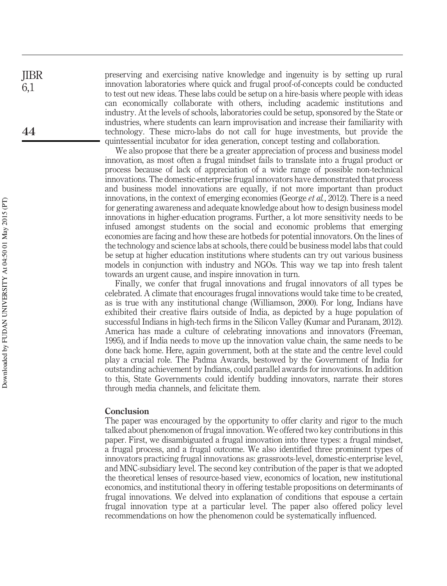preserving and exercising native knowledge and ingenuity is by setting up rural innovation laboratories where quick and frugal proof-of-concepts could be conducted to test out new ideas. These labs could be setup on a hire-basis where people with ideas can economically collaborate with others, including academic institutions and industry. At the levels of schools, laboratories could be setup, sponsored by the State or industries, where students can learn improvisation and increase their familiarity with technology. These micro-labs do not call for huge investments, but provide the quintessential incubator for idea generation, concept testing and collaboration.

We also propose that there be a greater appreciation of process and business model innovation, as most often a frugal mindset fails to translate into a frugal product or process because of lack of appreciation of a wide range of possible non-technical innovations. The domestic-enterprise frugal innovators have demonstrated that process and business model innovations are equally, if not more important than product innovations, in the context of emerging economies (George *et al.*, 2012). There is a need for generating awareness and adequate knowledge about how to design business model innovations in higher-education programs. Further, a lot more sensitivity needs to be infused amongst students on the social and economic problems that emerging economies are facing and how these are hotbeds for potential innovators. On the lines of the technology and science labs at schools, there could be business model labs that could be setup at higher education institutions where students can try out various business models in conjunction with industry and NGOs. This way we tap into fresh talent towards an urgent cause, and inspire innovation in turn.

Finally, we confer that frugal innovations and frugal innovators of all types be celebrated. A climate that encourages frugal innovations would take time to be created, as is true with any institutional change (Williamson, 2000). For long, Indians have exhibited their creative flairs outside of India, as depicted by a huge population of successful Indians in high-tech firms in the Silicon Valley (Kumar and Puranam, 2012). America has made a culture of celebrating innovations and innovators (Freeman, 1995), and if India needs to move up the innovation value chain, the same needs to be done back home. Here, again government, both at the state and the centre level could play a crucial role. The Padma Awards, bestowed by the Government of India for outstanding achievement by Indians, could parallel awards for innovations. In addition to this, State Governments could identify budding innovators, narrate their stores through media channels, and felicitate them.

#### Conclusion

The paper was encouraged by the opportunity to offer clarity and rigor to the much talked about phenomenon of frugal innovation. We offered two key contributions in this paper. First, we disambiguated a frugal innovation into three types: a frugal mindset, a frugal process, and a frugal outcome. We also identified three prominent types of innovators practicing frugal innovations as: grassroots-level, domestic-enterprise level, and MNC-subsidiary level. The second key contribution of the paper is that we adopted the theoretical lenses of resource-based view, economics of location, new institutional economics, and institutional theory in offering testable propositions on determinants of frugal innovations. We delved into explanation of conditions that espouse a certain frugal innovation type at a particular level. The paper also offered policy level recommendations on how the phenomenon could be systematically influenced.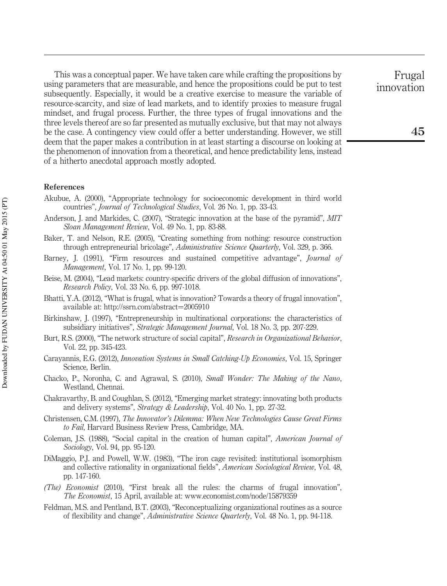This was a conceptual paper. We have taken care while crafting the propositions by using parameters that are measurable, and hence the propositions could be put to test subsequently. Especially, it would be a creative exercise to measure the variable of resource-scarcity, and size of lead markets, and to identify proxies to measure frugal mindset, and frugal process. Further, the three types of frugal innovations and the three levels thereof are so far presented as mutually exclusive, but that may not always be the case. A contingency view could offer a better understanding. However, we still deem that the paper makes a contribution in at least starting a discourse on looking at the phenomenon of innovation from a theoretical, and hence predictability lens, instead of a hitherto anecdotal approach mostly adopted.

#### References

- Akubue, A. (2000), "Appropriate technology for socioeconomic development in third world countries", *Journal of Technological Studies*, Vol. 26 No. 1, pp. 33-43.
- Anderson, J. and Markides, C. (2007), "Strategic innovation at the base of the pyramid", *MIT Sloan Management Review*, Vol. 49 No. 1, pp. 83-88.
- Baker, T. and Nelson, R.E. (2005), "Creating something from nothing: resource construction through entrepreneurial bricolage", *Administrative Science Quarterly*, Vol. 329, p. 366.
- Barney, J. (1991), "Firm resources and sustained competitive advantage", *Journal of Management*, Vol. 17 No. 1, pp. 99-120.
- Beise, M. (2004), "Lead markets: country-specific drivers of the global diffusion of innovations", *Research Policy*, Vol. 33 No. 6, pp. 997-1018.
- Bhatti, Y.A. (2012), "What is frugal, what is innovation? Towards a theory of frugal innovation", available at: http://ssrn.com/abstract=2005910
- Birkinshaw, J. (1997), "Entrepreneurship in multinational corporations: the characteristics of subsidiary initiatives", *Strategic Management Journal*, Vol. 18 No. 3, pp. 207-229.
- Burt, R.S. (2000), "The network structure of social capital", *Research in Organizational Behavior*, Vol. 22, pp. 345-423.
- Carayannis, E.G. (2012), *Innovation Systems in Small Catching-Up Economies*, Vol. 15, Springer Science, Berlin.
- Chacko, P., Noronha, C. and Agrawal, S. (2010), *Small Wonder: The Making of the Nano*, Westland, Chennai.
- Chakravarthy, B. and Coughlan, S. (2012), "Emerging market strategy: innovating both products and delivery systems", *Strategy & Leadership*, Vol. 40 No. 1, pp. 27-32.
- Christensen, C.M. (1997), *The Innovator's Dilemma: When New Technologies Cause Great Firms to Fail*, Harvard Business Review Press, Cambridge, MA.
- Coleman, J.S. (1988), "Social capital in the creation of human capital", *American Journal of Sociology*, Vol. 94, pp. 95-120.
- DiMaggio, P.J. and Powell, W.W. (1983), "The iron cage revisited: institutional isomorphism and collective rationality in organizational fields", *American Sociological Review*, Vol. 48, pp. 147-160.
- *(The) Economist* (2010), "First break all the rules: the charms of frugal innovation", *The Economist*, 15 April, available at: www.economist.com/node/15879359
- Feldman, M.S. and Pentland, B.T. (2003), "Reconceptualizing organizational routines as a source of flexibility and change", *Administrative Science Quarterly*, Vol. 48 No. 1, pp. 94-118.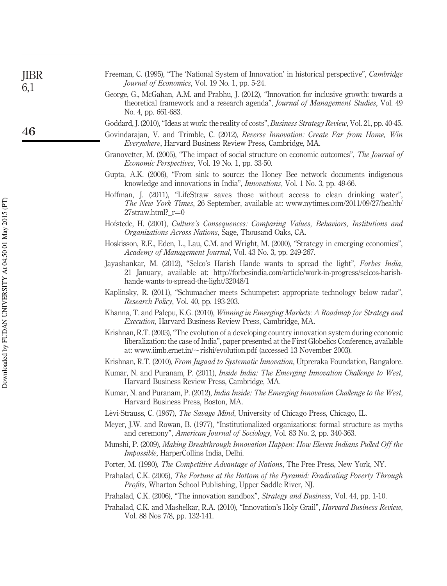| JIBR | Freeman, C. (1995), "The 'National System of Innovation' in historical perspective", Cambridge<br><i>Journal of Economics</i> , Vol. 19 No. 1, pp. 5-24.                                                                                                                              |  |  |  |  |
|------|---------------------------------------------------------------------------------------------------------------------------------------------------------------------------------------------------------------------------------------------------------------------------------------|--|--|--|--|
| 6,1  | George, G., McGahan, A.M. and Prabhu, J. (2012), "Innovation for inclusive growth: towards a<br>theoretical framework and a research agenda", Journal of Management Studies, Vol. 49<br>No. 4, pp. 661-683.                                                                           |  |  |  |  |
|      | Goddard, J. (2010), "Ideas at work: the reality of costs", Business Strategy Review, Vol. 21, pp. 40-45.                                                                                                                                                                              |  |  |  |  |
| 46   | Govindarajan, V. and Trimble, C. (2012), Reverse Innovation: Create Far from Home, Win<br><i>Everywhere</i> , Harvard Business Review Press, Cambridge, MA.                                                                                                                           |  |  |  |  |
|      | Granovetter, M. (2005), "The impact of social structure on economic outcomes", The Journal of<br>Economic Perspectives, Vol. 19 No. 1, pp. 33-50.                                                                                                                                     |  |  |  |  |
|      | Gupta, A.K. (2006), "From sink to source: the Honey Bee network documents indigenous<br>knowledge and innovations in India", <i>Innovations</i> , Vol. 1 No. 3, pp. 49-66.                                                                                                            |  |  |  |  |
|      | Hoffman, J. (2011), "LifeStraw saves those without access to clean drinking water",<br>The New York Times, 26 September, available at: www.nytimes.com/2011/09/27/health/<br>$27$ straw.html?_r=0                                                                                     |  |  |  |  |
|      | Hofstede, H. (2001), Culture's Consequences: Comparing Values, Behaviors, Institutions and<br>Organizations Across Nations, Sage, Thousand Oaks, CA.                                                                                                                                  |  |  |  |  |
|      | Hoskisson, R.E., Eden, L., Lau, C.M. and Wright, M. (2000), "Strategy in emerging economies",<br>Academy of Management Journal, Vol. 43 No. 3, pp. 249-267.                                                                                                                           |  |  |  |  |
|      | Jayashankar, M. (2012), "Selco's Harish Hande wants to spread the light", Forbes India,<br>21 January, available at: http://forbesindia.com/article/work-in-progress/selcos-harish-<br>hande-wants-to-spread-the-light/32048/1                                                        |  |  |  |  |
|      | Kaplinsky, R. (2011), "Schumacher meets Schumpeter: appropriate technology below radar",<br><i>Research Policy, Vol. 40, pp. 193-203.</i>                                                                                                                                             |  |  |  |  |
|      | Khanna, T. and Palepu, K.G. (2010), Winning in Emerging Markets: A Roadmap for Strategy and<br><i>Execution</i> , Harvard Business Review Press, Cambridge, MA.                                                                                                                       |  |  |  |  |
|      | Krishnan, R.T. (2003), "The evolution of a developing country innovation system during economic<br>liberalization: the case of India", paper presented at the First Globelics Conference, available<br>at: www.iimb.ernet.in/ $\sim$ rishi/evolution.pdf (accessed 13 November 2003). |  |  |  |  |
|      | Krishnan, R.T. (2010), From Jugaad to Systematic Innovation, Utpreraka Foundation, Bangalore.                                                                                                                                                                                         |  |  |  |  |
|      | Kumar, N. and Puranam, P. (2011), Inside India: The Emerging Innovation Challenge to West,<br>Harvard Business Review Press, Cambridge, MA.                                                                                                                                           |  |  |  |  |
|      | Kumar, N. and Puranam, P. (2012), India Inside: The Emerging Innovation Challenge to the West,<br>Harvard Business Press, Boston, MA.                                                                                                                                                 |  |  |  |  |
|      | Lévi-Strauss, C. (1967), The Savage Mind, University of Chicago Press, Chicago, IL.                                                                                                                                                                                                   |  |  |  |  |
|      | Meyer, J.W. and Rowan, B. (1977), "Institutionalized organizations: formal structure as myths<br>and ceremony", American Journal of Sociology, Vol. 83 No. 2, pp. 340-363.                                                                                                            |  |  |  |  |
|      | Munshi, P. (2009), Making Breakthrough Innovation Happen: How Eleven Indians Pulled Off the<br><i>Impossible</i> , HarperCollins India, Delhi.                                                                                                                                        |  |  |  |  |
|      | Porter, M. (1990), The Competitive Advantage of Nations, The Free Press, New York, NY.                                                                                                                                                                                                |  |  |  |  |
|      | Prahalad, C.K. (2005), The Fortune at the Bottom of the Pyramid: Eradicating Poverty Through<br>Profits, Wharton School Publishing, Upper Saddle River, NJ.                                                                                                                           |  |  |  |  |
|      | Prahalad, C.K. (2006), "The innovation sandbox", Strategy and Business, Vol. 44, pp. 1-10.                                                                                                                                                                                            |  |  |  |  |
|      | Prahalad, C.K. and Mashelkar, R.A. (2010), "Innovation's Holy Grail", <i>Harvard Business Review</i> ,<br>Vol. 88 Nos 7/8, pp. 132-141.                                                                                                                                               |  |  |  |  |